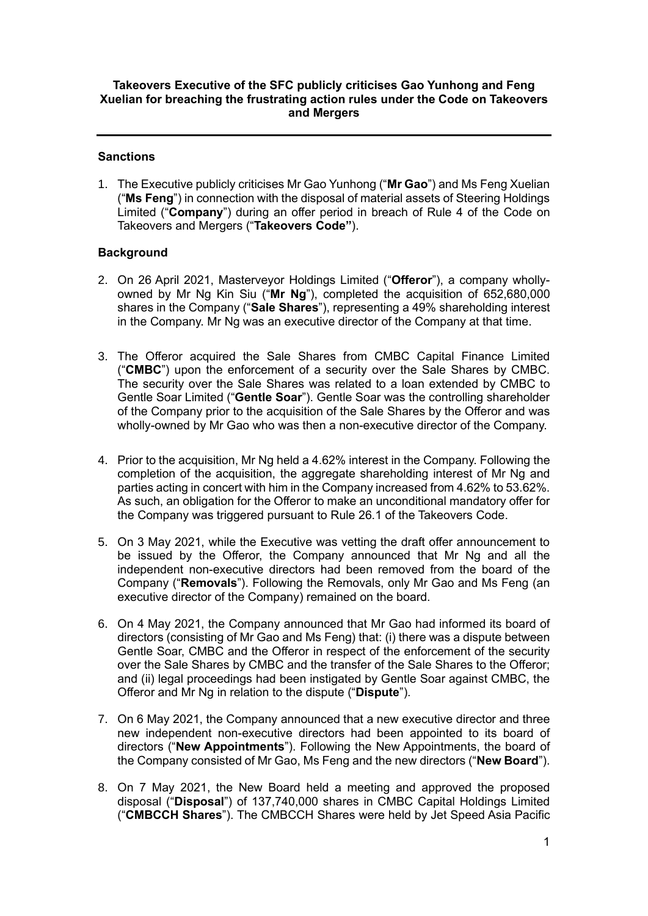# **Takeovers Executive of the SFC publicly criticises Gao Yunhong and Feng Xuelian for breaching the frustrating action rules under the Code on Takeovers and Mergers**

# **Sanctions**

1. The Executive publicly criticises Mr Gao Yunhong ("**Mr Gao**") and Ms Feng Xuelian ("**Ms Feng**") in connection with the disposal of material assets of Steering Holdings Limited ("**Company**") during an offer period in breach of Rule 4 of the Code on Takeovers and Mergers ("**Takeovers Code"**).

## **Background**

- 2. On 26 April 2021, Masterveyor Holdings Limited ("**Offeror**"), a company whollyowned by Mr Ng Kin Siu ("**Mr Ng**"), completed the acquisition of 652,680,000 shares in the Company ("**Sale Shares**"), representing a 49% shareholding interest in the Company. Mr Ng was an executive director of the Company at that time.
- 3. The Offeror acquired the Sale Shares from CMBC Capital Finance Limited ("**CMBC**") upon the enforcement of a security over the Sale Shares by CMBC. The security over the Sale Shares was related to a loan extended by CMBC to Gentle Soar Limited ("**Gentle Soar**"). Gentle Soar was the controlling shareholder of the Company prior to the acquisition of the Sale Shares by the Offeror and was wholly-owned by Mr Gao who was then a non-executive director of the Company.
- 4. Prior to the acquisition, Mr Ng held a 4.62% interest in the Company. Following the completion of the acquisition, the aggregate shareholding interest of Mr Ng and parties acting in concert with him in the Company increased from 4.62% to 53.62%. As such, an obligation for the Offeror to make an unconditional mandatory offer for the Company was triggered pursuant to Rule 26.1 of the Takeovers Code.
- 5. On 3 May 2021, while the Executive was vetting the draft offer announcement to be issued by the Offeror, the Company announced that Mr Ng and all the independent non-executive directors had been removed from the board of the Company ("**Removals**"). Following the Removals, only Mr Gao and Ms Feng (an executive director of the Company) remained on the board.
- 6. On 4 May 2021, the Company announced that Mr Gao had informed its board of directors (consisting of Mr Gao and Ms Feng) that: (i) there was a dispute between Gentle Soar, CMBC and the Offeror in respect of the enforcement of the security over the Sale Shares by CMBC and the transfer of the Sale Shares to the Offeror; and (ii) legal proceedings had been instigated by Gentle Soar against CMBC, the Offeror and Mr Ng in relation to the dispute ("**Dispute**").
- 7. On 6 May 2021, the Company announced that a new executive director and three new independent non-executive directors had been appointed to its board of directors ("**New Appointments**"). Following the New Appointments, the board of the Company consisted of Mr Gao, Ms Feng and the new directors ("**New Board**").
- 8. On 7 May 2021, the New Board held a meeting and approved the proposed disposal ("**Disposal**") of 137,740,000 shares in CMBC Capital Holdings Limited ("**CMBCCH Shares**"). The CMBCCH Shares were held by Jet Speed Asia Pacific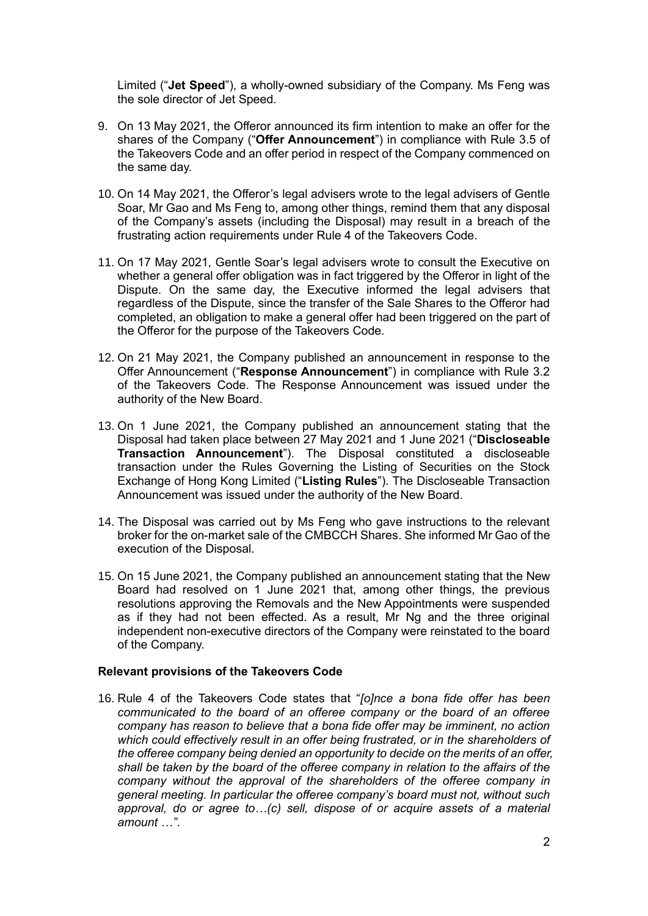Limited ("**Jet Speed**"), a wholly-owned subsidiary of the Company. Ms Feng was the sole director of Jet Speed.

- 9. On 13 May 2021, the Offeror announced its firm intention to make an offer for the shares of the Company ("**Offer Announcement**") in compliance with Rule 3.5 of the Takeovers Code and an offer period in respect of the Company commenced on the same day.
- 10. On 14 May 2021, the Offeror's legal advisers wrote to the legal advisers of Gentle Soar, Mr Gao and Ms Feng to, among other things, remind them that any disposal of the Company's assets (including the Disposal) may result in a breach of the frustrating action requirements under Rule 4 of the Takeovers Code.
- 11. On 17 May 2021, Gentle Soar's legal advisers wrote to consult the Executive on whether a general offer obligation was in fact triggered by the Offeror in light of the Dispute. On the same day, the Executive informed the legal advisers that regardless of the Dispute, since the transfer of the Sale Shares to the Offeror had completed, an obligation to make a general offer had been triggered on the part of the Offeror for the purpose of the Takeovers Code.
- 12. On 21 May 2021, the Company published an announcement in response to the Offer Announcement ("**Response Announcement**") in compliance with Rule 3.2 of the Takeovers Code. The Response Announcement was issued under the authority of the New Board.
- 13. On 1 June 2021, the Company published an announcement stating that the Disposal had taken place between 27 May 2021 and 1 June 2021 ("**Discloseable Transaction Announcement**"). The Disposal constituted a discloseable transaction under the Rules Governing the Listing of Securities on the Stock Exchange of Hong Kong Limited ("**Listing Rules**"). The Discloseable Transaction Announcement was issued under the authority of the New Board.
- 14. The Disposal was carried out by Ms Feng who gave instructions to the relevant broker for the on-market sale of the CMBCCH Shares. She informed Mr Gao of the execution of the Disposal.
- 15. On 15 June 2021, the Company published an announcement stating that the New Board had resolved on 1 June 2021 that, among other things, the previous resolutions approving the Removals and the New Appointments were suspended as if they had not been effected. As a result, Mr Ng and the three original independent non-executive directors of the Company were reinstated to the board of the Company.

#### **Relevant provisions of the Takeovers Code**

16. Rule 4 of the Takeovers Code states that "*[o]nce a bona fide offer has been communicated to the board of an offeree company or the board of an offeree company has reason to believe that a bona fide offer may be imminent, no action which could effectively result in an offer being frustrated, or in the shareholders of the offeree company being denied an opportunity to decide on the merits of an offer, shall be taken by the board of the offeree company in relation to the affairs of the company without the approval of the shareholders of the offeree company in general meeting. In particular the offeree company's board must not, without such approval, do or agree to…(c) sell, dispose of or acquire assets of a material amount …"*.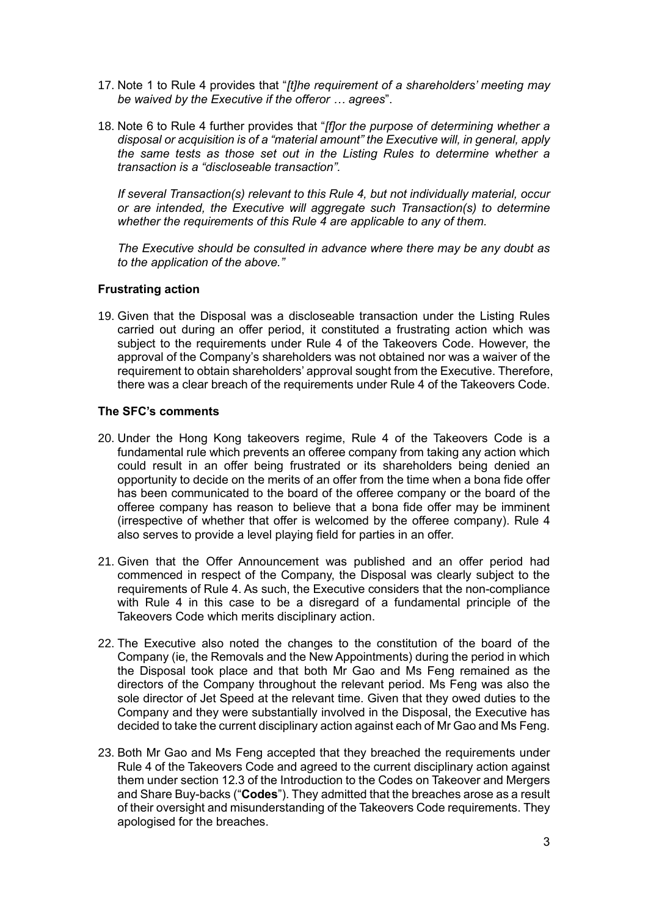- 17. Note 1 to Rule 4 provides that "*[t]he requirement of a shareholders' meeting may be waived by the Executive if the offeror … agrees*".
- 18. Note 6 to Rule 4 further provides that "*[f]or the purpose of determining whether a disposal or acquisition is of a "material amount" the Executive will, in general, apply the same tests as those set out in the Listing Rules to determine whether a transaction is a "discloseable transaction".*

*If several Transaction(s) relevant to this Rule 4, but not individually material, occur or are intended, the Executive will aggregate such Transaction(s) to determine whether the requirements of this Rule 4 are applicable to any of them.*

*The Executive should be consulted in advance where there may be any doubt as to the application of the above."*

## **Frustrating action**

19. Given that the Disposal was a discloseable transaction under the Listing Rules carried out during an offer period, it constituted a frustrating action which was subject to the requirements under Rule 4 of the Takeovers Code. However, the approval of the Company's shareholders was not obtained nor was a waiver of the requirement to obtain shareholders' approval sought from the Executive. Therefore, there was a clear breach of the requirements under Rule 4 of the Takeovers Code.

## **The SFC's comments**

- 20. Under the Hong Kong takeovers regime, Rule 4 of the Takeovers Code is a fundamental rule which prevents an offeree company from taking any action which could result in an offer being frustrated or its shareholders being denied an opportunity to decide on the merits of an offer from the time when a bona fide offer has been communicated to the board of the offeree company or the board of the offeree company has reason to believe that a bona fide offer may be imminent (irrespective of whether that offer is welcomed by the offeree company). Rule 4 also serves to provide a level playing field for parties in an offer.
- 21. Given that the Offer Announcement was published and an offer period had commenced in respect of the Company, the Disposal was clearly subject to the requirements of Rule 4. As such, the Executive considers that the non-compliance with Rule 4 in this case to be a disregard of a fundamental principle of the Takeovers Code which merits disciplinary action.
- 22. The Executive also noted the changes to the constitution of the board of the Company (ie, the Removals and the New Appointments) during the period in which the Disposal took place and that both Mr Gao and Ms Feng remained as the directors of the Company throughout the relevant period. Ms Feng was also the sole director of Jet Speed at the relevant time. Given that they owed duties to the Company and they were substantially involved in the Disposal, the Executive has decided to take the current disciplinary action against each of Mr Gao and Ms Feng.
- 23. Both Mr Gao and Ms Feng accepted that they breached the requirements under Rule 4 of the Takeovers Code and agreed to the current disciplinary action against them under section 12.3 of the Introduction to the Codes on Takeover and Mergers and Share Buy-backs ("**Codes**"). They admitted that the breaches arose as a result of their oversight and misunderstanding of the Takeovers Code requirements. They apologised for the breaches.